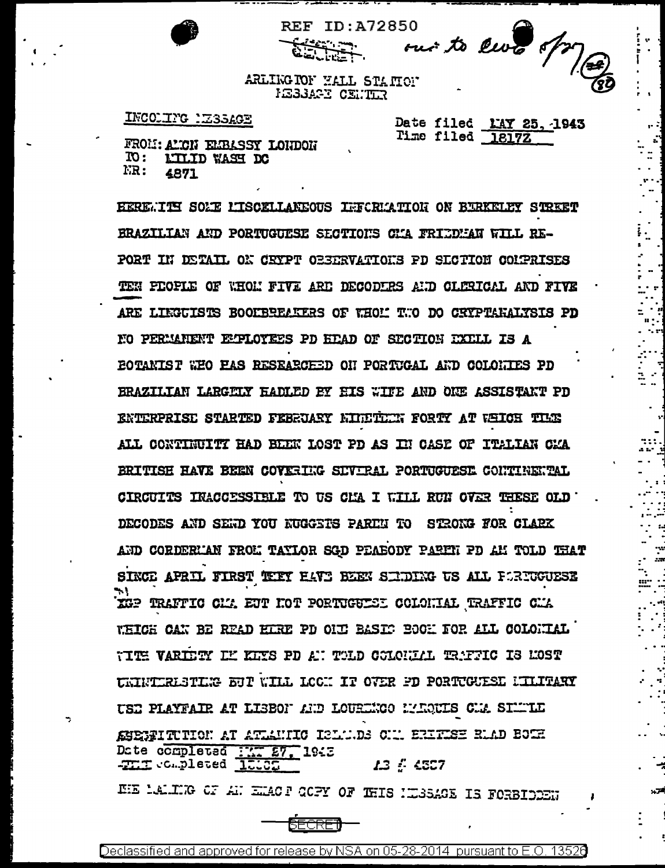

**REF ID:A72850** 

٠., 

area<br>Maria

ARLIKG TOF HALL STATION **IESSARY CENTER** 

بنغتف

## INCOLIFG LESSAGE

Date filed MAY 25, 1943 Time filed 1817Z

FROM: AMCN ELBASSY LONDON  $\mathbf{m}$  : LILID WASH DC  $_{\rm{FR}}$  : 4871

EERE. ITS SOLE LISCELLANEOUS INFORMATION ON BURKELEY STREET BRAZILIAN AND PORTUGUESE SECTIONS CHA FRIEDHAN WILL RE-PORT IN DETAIL ON CEYPT OBSERVATIONS PD SECTION CONPRISES TEN PEOPLE OF WHOM FIVE ARE DECODERS AND CLERICAL AND FIVE ARE LIEGUISTS BOOFBREAKERS OF WHOM TWO DO CRYPTARALYSIS PD NO PERMANENT EMPLOYEES PD HEAD OF SECTION EXELL IS A **EOTANIST WEO EAS RESEARCEED ON PORTUGAL AND COLONIES PD** BRAZILIAN LARGELY HADLED BY HIS WITE AND ONE ASSISTANT PD ENTERPRISE STARTED FEBRUART KINETIEN FORTY AT WHICH THE ALL CONTINUITY HAD BEEN LOST PD AS IN CASE OF ITALIAN CAA BRITISH HAVE BEEN COVERIGG SIVIRAL PORTUGUESE CONTINEUPAL CIRCUITS INACCESSIBLE TO US CHA I WILL RUN OVER THESE OLD DECODES AND SEND YOU NUGGETS PARTN TO STRONG FOR CLARK AND CORDERL'AN FROL TAYLOR SGD PEABODY PARIN PD AL TOLD THAT SINCE APRIL FIRST THEY HAVE BEEN SENDING US ALL FORTUGUESE XGP TRAFFIC CIM EUT HOT PORTUGUIEDI COLONIAL TRAFFIC CIM WHICH CAN BE READ HIRE PD OUT BASIC BOOM FOR ALL COLONIAL TITE VARIETY LE KITS PD AT TOLD COLOULLE TRAFFIC IS MOST UNIVITRESTING BUT WILL LOCK IT OVER PD PORTUGUESE NILITARY USE PLAYFAIR AT LIBBON AND LOURENCO MARQUIS CMA SIMMLE ASERITUTION AT ATLANIIC ISLANDS CIA ERITISE RAAD BOTH Date completed First, 1943 HE LALING OF AN EMACT OCPY OF THIS NESSAGE IS FORBIDDEN

Declassified and approved for release by NSA on 05-28-2014 pursuant to E.O. 13526